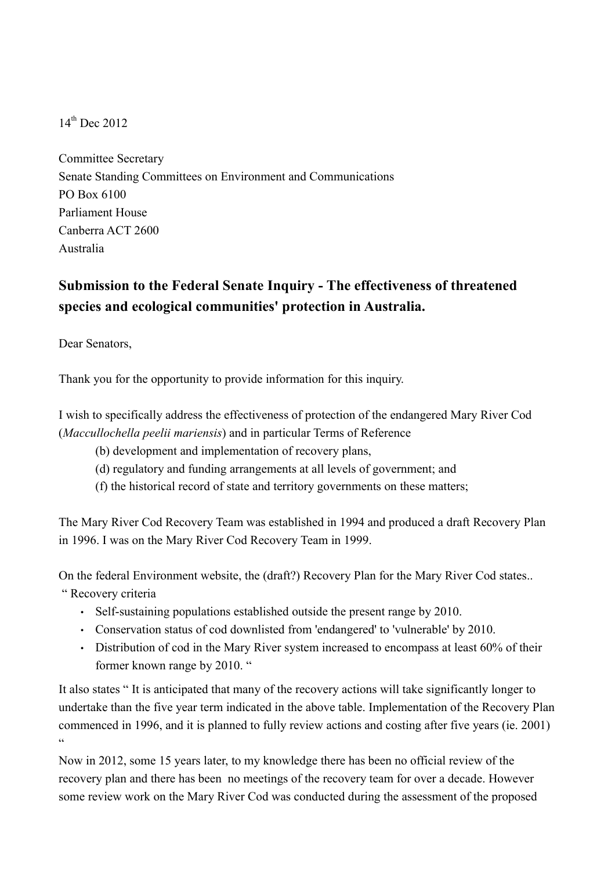$14^{th}$  Dec 2012

Committee Secretary Senate Standing Committees on Environment and Communications PO Box 6100 Parliament House Canberra ACT 2600 Australia

## **Submission to the Federal Senate Inquiry - The effectiveness of threatened species and ecological communities' protection in Australia.**

Dear Senators,

Thank you for the opportunity to provide information for this inquiry.

I wish to specifically address the effectiveness of protection of the endangered Mary River Cod (*Maccullochella peelii mariensis*) and in particular Terms of Reference

- (b) development and implementation of recovery plans,
- (d) regulatory and funding arrangements at all levels of government; and
- (f) the historical record of state and territory governments on these matters;

The Mary River Cod Recovery Team was established in 1994 and produced a draft Recovery Plan in 1996. I was on the Mary River Cod Recovery Team in 1999.

On the federal Environment website, the (draft?) Recovery Plan for the Mary River Cod states.. " Recovery criteria

- Self-sustaining populations established outside the present range by 2010.
- Conservation status of cod downlisted from 'endangered' to 'vulnerable' by 2010.
- Distribution of cod in the Mary River system increased to encompass at least 60% of their former known range by 2010. "

It also states " It is anticipated that many of the recovery actions will take significantly longer to undertake than the five year term indicated in the above table. Implementation of the Recovery Plan commenced in 1996, and it is planned to fully review actions and costing after five years (ie. 2001)  $\alpha$ 

Now in 2012, some 15 years later, to my knowledge there has been no official review of the recovery plan and there has been no meetings of the recovery team for over a decade. However some review work on the Mary River Cod was conducted during the assessment of the proposed